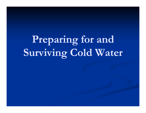**Preparing for and Surviving Cold W ing old Water**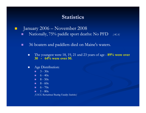#### **Statistics**

- $\Box$  January 2006 – November 2008
	- П Nationally, 75% paddle sport deaths: No PFD *[ACA]*
	- п 36 boaters and paddlers died on Maine's waters.
		- $\blacksquare$  The youngest were 18, 19, 21 and 23 years of age - **89% were over 30 - 64% were over 50.**
		- $\blacksquare$ Age Distribution:
			- п.  $3 - 30s$
			- $\blacksquare$  6 40s
			- $\blacksquare$  8 50s
			- $8 60s$
			- $\blacksquare$  6 70s
			- .  $1 - 80s$

*[USCG Recreational Boating Fatality Statistics]*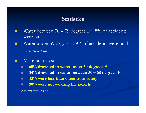#### **Statistics**

- Water between  $70-79$  degrees F:  $8\%$  of accidents were fatal
- Water under 59 deg. F : 59% of accidents were fatal

*[USCG Drowning Report]*

- More Statistics:
	- . **60% drowned in water under 50 degrees F**
	- . **34% drowned in water between 50 – 68 degrees F degrees**
	- ш 43% were less than 6 feet from safety
	- П **90% were not wearing life jackets**

*[Lif g yy e Savin Saving Society Study 2007]*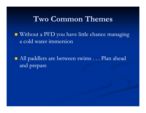#### $Two\ Common\ The$

 $\blacksquare$  Without a PFD you have little chance managing a cold water immersion

 All paddlers are between swims . . . Plan ahead an d prepare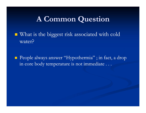#### **A Common Question Question**

■ What is the biggest risk associated with cold water?

■ People always answer "Hypothermia" ; in fact, a drop in core body temperature is not immediate ...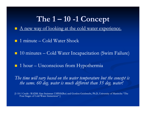#### **The 1 –10 -1 Concept 1**

- A new way of looking at the cold water experience.
- **1** minute Cold Water Shock
- 10 minutes Cold Water Incapacitation (Swim Failure)
- 1 hour Unconscious from Hypothermia

The time will vary based on the water temperature but the concept is *the same. 60 deg. water is much different than 35 deg. water!* 

[1-10-1 Credit : RADM Alan Steinman USPHS(Ret) and Gordon Geisbrecht, Ph.D, University of Manitoba "The Four Stages of Cold Water Immersion" ]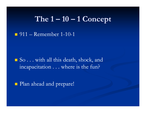#### **The 1 –10 – 1 Concept**

**1** 911 – Remember 1-10-1

■ So . . . with all this death, shock, and incapacitation . . . where is the fun?

**Plan ahead and prepare!**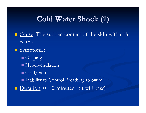### **Cold Water Shock (1)**

- $\blacksquare$  Cause: The sudden contact of the skin with cold water.
- **Symptoms:** 
	- **Gasping**
	- $\blacksquare$  Hyperventilation
	- Cold/pain
	- Inability to Control Breathing to Swim
- $\blacksquare$  Duration:  $0-2$  minutes (it will pass)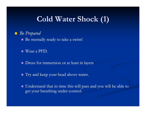### **Cold Water Shock (1)**

*Be Prepare d*

Be mentally ready to take a swim!

■ Wear a PFD.

**Dress for immersion or at least in layers** 

Try and keep your head above water.

 Understand that in time this will pass and you will be able to get your breathing under control.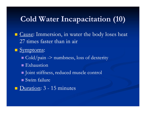**Example:** Immersion, in water the body loses heat 27 times faster than in air

**Symptoms:** 

- $\blacksquare$  Cold/pain -> numbness, loss of dexterity
- $\blacksquare$  Exhaustion
- Joint stiffness, reduced muscle control
- Swim failure
- **D**uration: 3 15 minutes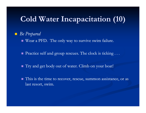#### *Be Prepared*

Wear a PFD. The only way to survive swim failure.

Practice self and group rescues. The clock is ticking ...

- Try and get body out of water. Climb on your boat!
- lacktriangleright This is the time to recover, rescue, summon assistance, or as last resort, swim.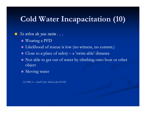#### *So when do you swim . . .*

- Wearing a PFD
- Likelihood of rescue is low (no witness, no comms.)
- $\blacksquare$  Close to a place of safety a 'swim-able' distance
- $\blacksquare$  Not able to get out of water by climbing onto boat or other objec t
- **Moving water**

*[NASBLA – Small Craft Advisory Jan-Feb 08]*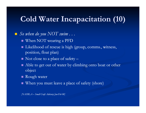#### $\blacksquare$  So when do you  $NOT$  swim  $\ldots$

- When NOT wearing a PFD
- Likelihood of rescue is high (group, comms., witness, position, float plan)
- $\blacksquare$  Not close to a place of safety –
- $\blacksquare$  Able to get out of water by climbing onto boat or other object
- Rough water
- When you must leave a place of safety (shore)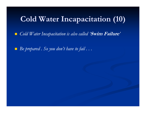$\Box$ Cold Water Incapacitation is also called 'Swim Failure'

 $\blacksquare$  Be prepared . So you don't have to fail  $\ldots$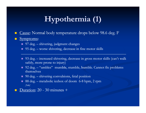# **Hypothermia (1)**

■ Cause: Normal body temperature drops below 98.6 deg. F

#### $\blacksquare$ Symptoms:

- 97 deg. shivering, judgment changes
- $\blacksquare$  95 deg. worse shivering, decrease in fine motor skills
- 93 deg. increased shivering, decrease in gross motor skills (can't walk safely, more prone to injury)
- 92 deg. "umbles" mumble, stumble, bumble. Cannot fix problems themselves
- $\Box$  90 deg. shivering convulsions, fetal position
- 88 deg. metabolic icebox of doom 6-8 bpm, 2 rpm *[Solo]*
- Duration: 20 30 minutes +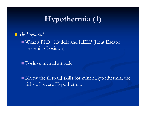# **Hypothermia (1)**

*Be Prepared*

 Wear a PFD. Huddle and HELP (Heat Escape Lessening Position)

Positive mental attitude

 $\blacksquare$  Know the first-aid skills for minor Hypothermia, the risks of severe Hypothermia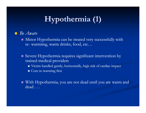# **Hypothermia (1)**

- *Be Aware*
	- $\blacksquare$  Minor Hypothermia can be treated very successfully with re- warmimg, warm drinks, food, etc...
	- Severe Hypothermia requires significant intervention by trained medical providers
		- Victim handled gently, horizontally, high risk of cardiac impact
		- **C**ore re-warming first
	- With Hypothermia, you are not dead until you are warm and dead ...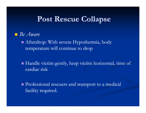#### **Post Rescue Collapse**

#### *Be Aware*

 Afterdrop: With severe Hypothermia, body temperature will continue to drop

- $\blacksquare$  Handle victim gently, keep victim horizontal, time of cardiac risk
- **Professional rescuers and transport to a medical** facility required.